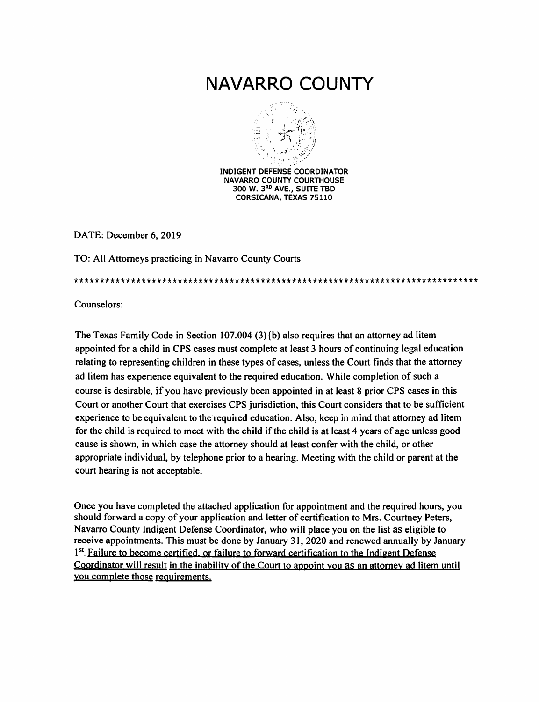# NAVARRO COUNTY



**INDIGENT DEFENSE COORDINATOR NAVARRO COUNTY COURTHOUSE** 300 W. 3RD AVE., SUITE TBD CORSICANA, TEXAS 75110

DATE: December 6, 2019

TO: All Attorneys practicing in Navarro County Courts

Counselors:

The Texas Family Code in Section 107.004 (3) $\{b\}$  also requires that an attorney ad litem appointed for a child in CPS cases must complete at least 3 hours of continuing legal education relating to representing children in these types of cases, unless the Court finds that the attorney ad litem has experience equivalent to the required education. While completion of such a course is desirable, if you have previously been appointed in at least 8 prior CPS cases in this Court or another Court that exercises CPS jurisdiction, this Court considers that to be sufficient experience to be equivalent to the required education. Also, keep in mind that attorney ad litem for the child is required to meet with the child if the child is at least 4 years of age unless good cause is shown, in which case the attorney should at least confer with the child, or other appropriate individual, by telephone prior to a hearing. Meeting with the child or parent at the court hearing is not acceptable.

Once you have completed the attached application for appointment and the required hours, you should forward a copy of your application and letter of certification to Mrs. Courtney Peters, Navarro County Indigent Defense Coordinator, who will place you on the list as eligible to receive appointments. This must be done by January 31, 2020 and renewed annually by January 1st. Failure to become certified, or failure to forward certification to the Indigent Defense Coordinator will result in the inability of the Court to appoint you as an attorney ad litem until you complete those requirements.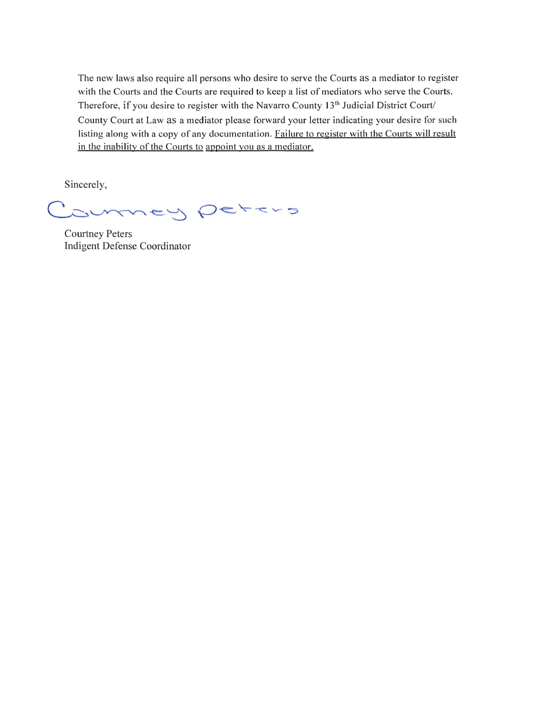The new laws also require all persons who desire to serve the Courts as a mediator to register with the Courts and the Courts are required to keep a list of mediators who serve the Courts. Therefore, if you desire to register with the Navarro County 13<sup>th</sup> Judicial District Court/ County Court at Law as a mediator please forward your letter indicating your desire for such listing along with a copy of any documentation. Failure to register with the Courts will result in the inability of the Courts to appoint you as a mediator.

Sincerely,

mey peters  $\checkmark$ 

**Courtney Peters** Indigent Defense Coordinator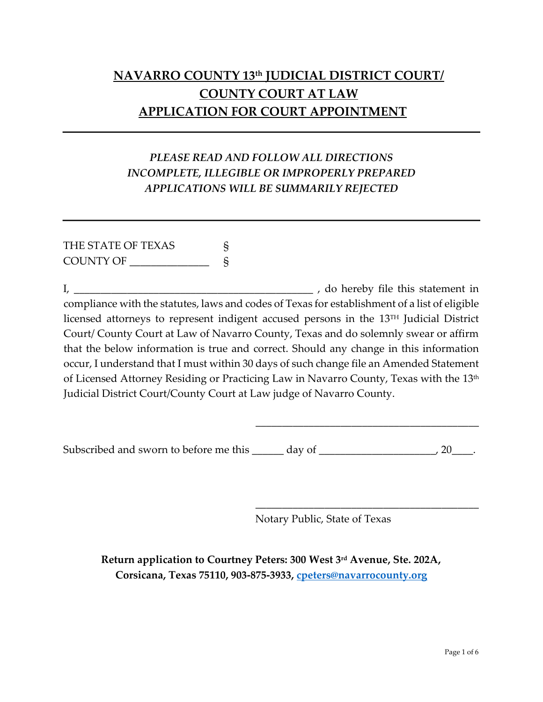## **NAVARRO COUNTY 13th JUDICIAL DISTRICT COURT/ COUNTY COURT AT LAW APPLICATION FOR COURT APPOINTMENT**

### *PLEASE READ AND FOLLOW ALL DIRECTIONS INCOMPLETE, ILLEGIBLE OR IMPROPERLY PREPARED APPLICATIONS WILL BE SUMMARILY REJECTED*

### THE STATE OF TEXAS S COUNTY OF \_\_\_\_\_\_\_\_\_\_\_\_\_\_\_ §

I, \_\_\_\_\_\_\_\_\_\_\_\_\_\_\_\_\_\_\_\_\_\_\_\_\_\_\_\_\_\_\_\_\_\_\_\_\_\_\_\_\_\_\_\_\_ , do hereby file this statement in compliance with the statutes, laws and codes of Texas for establishment of a list of eligible licensed attorneys to represent indigent accused persons in the 13TH Judicial District Court/ County Court at Law of Navarro County, Texas and do solemnly swear or affirm that the below information is true and correct. Should any change in this information occur, I understand that I must within 30 days of such change file an Amended Statement of Licensed Attorney Residing or Practicing Law in Navarro County, Texas with the 13<sup>th</sup> Judicial District Court/County Court at Law judge of Navarro County.

Subscribed and sworn to before me this \_\_\_\_\_\_ day of \_\_\_\_\_\_\_\_\_\_\_\_\_\_\_\_\_\_\_\_\_\_\_\_, 20\_\_\_\_.

Notary Public, State of Texas

\_\_\_\_\_\_\_\_\_\_\_\_\_\_\_\_\_\_\_\_\_\_\_\_\_\_\_\_\_\_\_\_\_\_\_\_\_\_\_\_\_\_

\_\_\_\_\_\_\_\_\_\_\_\_\_\_\_\_\_\_\_\_\_\_\_\_\_\_\_\_\_\_\_\_\_\_\_\_\_\_\_\_\_\_

**Return application to Courtney Peters: 300 West 3rd Avenue, Ste. 202A, Corsicana, Texas 75110, 903-875-3933, [cpeters@navarrocounty.org](mailto:cpeters@navarrocounty.org)**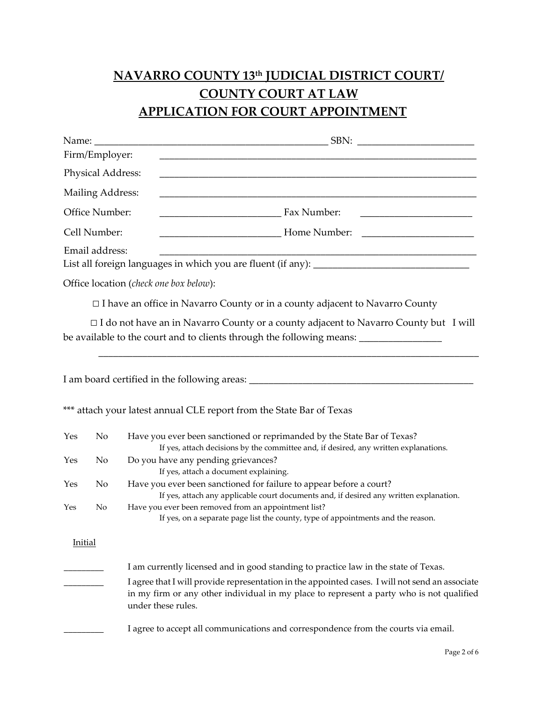# **NAVARRO COUNTY 13th JUDICIAL DISTRICT COURT/ COUNTY COURT AT LAW APPLICATION FOR COURT APPOINTMENT**

|                | Name: $\frac{1}{\sqrt{1-\frac{1}{2}}\cdot\frac{1}{\sqrt{1-\frac{1}{2}}}}$ |                                                                                                                                                                                                                                                                                                          |
|----------------|---------------------------------------------------------------------------|----------------------------------------------------------------------------------------------------------------------------------------------------------------------------------------------------------------------------------------------------------------------------------------------------------|
|                | Firm/Employer:                                                            |                                                                                                                                                                                                                                                                                                          |
|                | Physical Address:                                                         |                                                                                                                                                                                                                                                                                                          |
|                | <b>Mailing Address:</b>                                                   | <u> 1980 - Johann John Stone, mars eta biztanleria (h. 1980).</u>                                                                                                                                                                                                                                        |
| Office Number: |                                                                           | <b>Fax Number:</b>                                                                                                                                                                                                                                                                                       |
| Cell Number:   |                                                                           |                                                                                                                                                                                                                                                                                                          |
|                | Email address:                                                            |                                                                                                                                                                                                                                                                                                          |
|                |                                                                           | Office location (check one box below):                                                                                                                                                                                                                                                                   |
|                |                                                                           | $\Box$ I have an office in Navarro County or in a county adjacent to Navarro County                                                                                                                                                                                                                      |
|                |                                                                           | $\Box$ I do not have an in Navarro County or a county adjacent to Navarro County but I will<br>be available to the court and to clients through the following means: ________________                                                                                                                    |
|                |                                                                           |                                                                                                                                                                                                                                                                                                          |
|                |                                                                           | *** attach your latest annual CLE report from the State Bar of Texas                                                                                                                                                                                                                                     |
| Yes            | No                                                                        | Have you ever been sanctioned or reprimanded by the State Bar of Texas?<br>If yes, attach decisions by the committee and, if desired, any written explanations.                                                                                                                                          |
| Yes            | No                                                                        | Do you have any pending grievances?<br>If yes, attach a document explaining.                                                                                                                                                                                                                             |
| Yes            | No                                                                        | Have you ever been sanctioned for failure to appear before a court?<br>If yes, attach any applicable court documents and, if desired any written explanation.                                                                                                                                            |
| Yes            | N <sub>o</sub>                                                            | Have you ever been removed from an appointment list?<br>If yes, on a separate page list the county, type of appointments and the reason.                                                                                                                                                                 |
| Initial        |                                                                           |                                                                                                                                                                                                                                                                                                          |
|                |                                                                           | I am currently licensed and in good standing to practice law in the state of Texas.<br>I agree that I will provide representation in the appointed cases. I will not send an associate<br>in my firm or any other individual in my place to represent a party who is not qualified<br>under these rules. |
|                |                                                                           | I agree to accept all communications and correspondence from the courts via email.                                                                                                                                                                                                                       |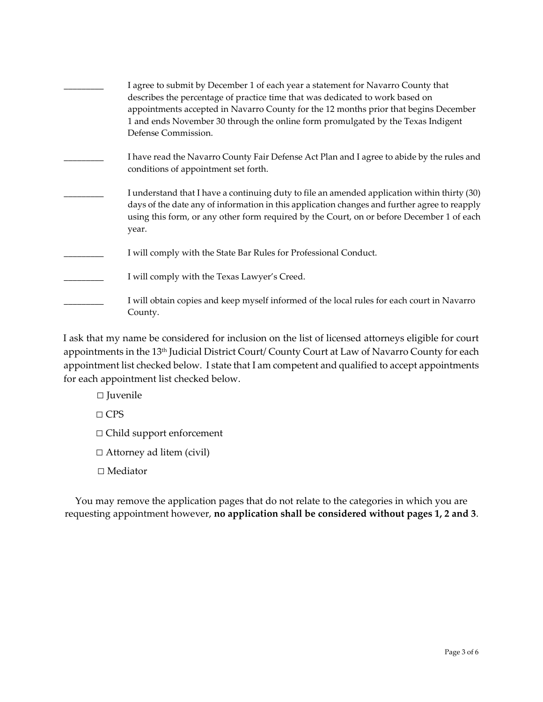| I agree to submit by December 1 of each year a statement for Navarro County that<br>describes the percentage of practice time that was dedicated to work based on<br>appointments accepted in Navarro County for the 12 months prior that begins December<br>1 and ends November 30 through the online form promulgated by the Texas Indigent<br>Defense Commission. |
|----------------------------------------------------------------------------------------------------------------------------------------------------------------------------------------------------------------------------------------------------------------------------------------------------------------------------------------------------------------------|
| I have read the Navarro County Fair Defense Act Plan and I agree to abide by the rules and<br>conditions of appointment set forth.                                                                                                                                                                                                                                   |
| I understand that I have a continuing duty to file an amended application within thirty (30)<br>days of the date any of information in this application changes and further agree to reapply<br>using this form, or any other form required by the Court, on or before December 1 of each<br>year.                                                                   |
| I will comply with the State Bar Rules for Professional Conduct.                                                                                                                                                                                                                                                                                                     |
| I will comply with the Texas Lawyer's Creed.                                                                                                                                                                                                                                                                                                                         |
| I will obtain copies and keep myself informed of the local rules for each court in Navarro<br>County.                                                                                                                                                                                                                                                                |

I ask that my name be considered for inclusion on the list of licensed attorneys eligible for court appointments in the 13<sup>th</sup> Judicial District Court/ County Court at Law of Navarro County for each appointment list checked below. I state that I am competent and qualified to accept appointments for each appointment list checked below.

□ Juvenile

□ CPS

□ Child support enforcement

□ Attorney ad litem (civil)

□ Mediator

You may remove the application pages that do not relate to the categories in which you are requesting appointment however, **no application shall be considered without pages 1, 2 and 3**.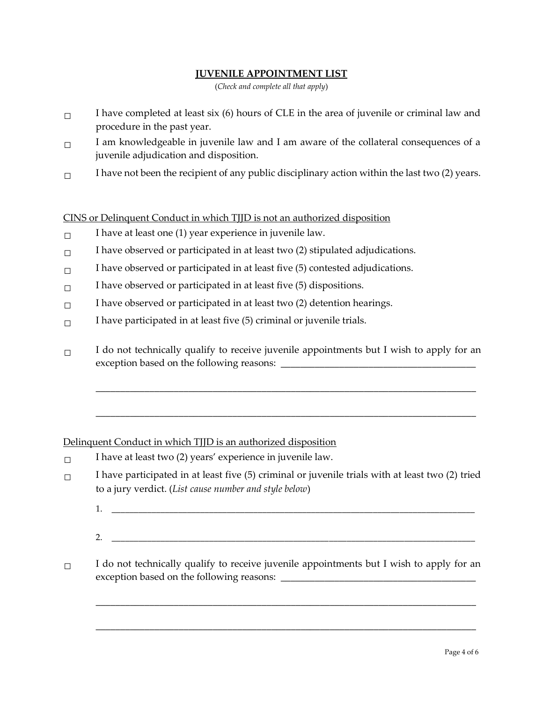#### **JUVENILE APPOINTMENT LIST**

(*Check and complete all that apply*)

- $\Box$ I have completed at least six (6) hours of CLE in the area of juvenile or criminal law and procedure in the past year.
- $\Box$  I am knowledgeable in juvenile law and I am aware of the collateral consequences of a juvenile adjudication and disposition.
- □ I have not been the recipient of any public disciplinary action within the last two (2) years.

CINS or Delinquent Conduct in which TJJD is not an authorized disposition

- $\Box$  I have at least one (1) year experience in juvenile law.
- □ I have observed or participated in at least two (2) stipulated adjudications.
- $\Box$ I have observed or participated in at least five (5) contested adjudications.
- $\Box$  I have observed or participated in at least five (5) dispositions.
- $\Box$  I have observed or participated in at least two (2) detention hearings.
- $\square$  I have participated in at least five (5) criminal or juvenile trials.
- $\Box$  I do not technically qualify to receive juvenile appointments but I wish to apply for an exception based on the following reasons: \_\_\_\_\_\_\_\_\_\_\_\_\_\_\_\_\_\_\_\_\_\_\_\_\_\_\_\_\_\_\_\_\_\_\_\_\_\_\_\_

\_\_\_\_\_\_\_\_\_\_\_\_\_\_\_\_\_\_\_\_\_\_\_\_\_\_\_\_\_\_\_\_\_\_\_\_\_\_\_\_\_\_\_\_\_\_\_\_\_\_\_\_\_\_\_\_\_\_\_\_\_\_\_\_\_\_\_\_\_\_\_\_\_\_\_\_\_\_

\_\_\_\_\_\_\_\_\_\_\_\_\_\_\_\_\_\_\_\_\_\_\_\_\_\_\_\_\_\_\_\_\_\_\_\_\_\_\_\_\_\_\_\_\_\_\_\_\_\_\_\_\_\_\_\_\_\_\_\_\_\_\_\_\_\_\_\_\_\_\_\_\_\_\_\_\_\_

#### Delinquent Conduct in which TJJD is an authorized disposition

- □ I have at least two (2) years' experience in juvenile law.
- $\Box$ I have participated in at least five (5) criminal or juvenile trials with at least two (2) tried to a jury verdict. (*List cause number and style below*)
	- 1. \_\_\_\_\_\_\_\_\_\_\_\_\_\_\_\_\_\_\_\_\_\_\_\_\_\_\_\_\_\_\_\_\_\_\_\_\_\_\_\_\_\_\_\_\_\_\_\_\_\_\_\_\_\_\_\_\_\_\_\_\_\_\_\_\_\_\_\_\_\_\_\_\_\_\_\_\_\_\_\_\_\_
	- $2.$

\_\_\_\_\_\_\_\_\_\_\_\_\_\_\_\_\_\_\_\_\_\_\_\_\_\_\_\_\_\_\_\_\_\_\_\_\_\_\_\_\_\_\_\_\_\_\_\_\_\_\_\_\_\_\_\_\_\_\_\_\_\_\_\_\_\_\_\_\_\_\_\_\_\_\_\_\_\_

\_\_\_\_\_\_\_\_\_\_\_\_\_\_\_\_\_\_\_\_\_\_\_\_\_\_\_\_\_\_\_\_\_\_\_\_\_\_\_\_\_\_\_\_\_\_\_\_\_\_\_\_\_\_\_\_\_\_\_\_\_\_\_\_\_\_\_\_\_\_\_\_\_\_\_\_\_\_

 $\Box$  I do not technically qualify to receive juvenile appointments but I wish to apply for an exception based on the following reasons: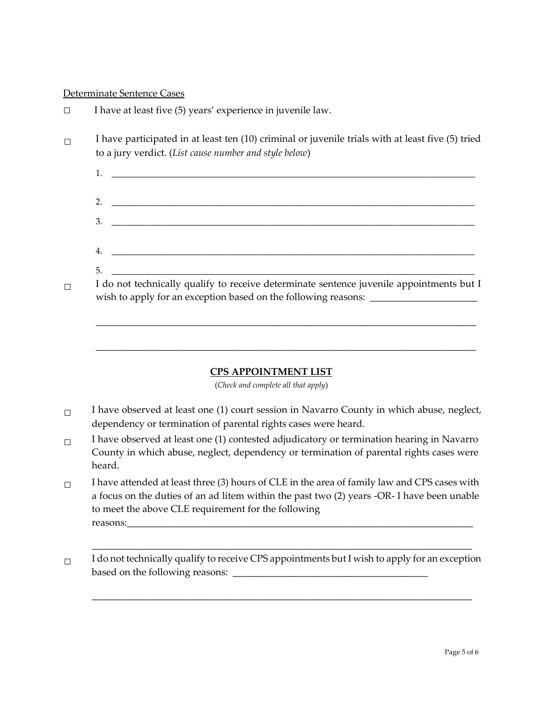#### Determinate Sentence Cases

| $\Box$ | I have at least five (5) years' experience in juvenile law.                                                                                                                   |
|--------|-------------------------------------------------------------------------------------------------------------------------------------------------------------------------------|
|        | I have participated in at least ten (10) criminal or juvenile trials with at least five (5) tried<br>to a jury verdict. (List cause number and style below)                   |
|        |                                                                                                                                                                               |
|        |                                                                                                                                                                               |
|        | <u> 1980 - Jan Barnett, fransk politik (d. 1980)</u><br>3.                                                                                                                    |
|        |                                                                                                                                                                               |
|        | 5.                                                                                                                                                                            |
|        | I do not technically qualify to receive determinate sentence juvenile appointments but I<br>wish to apply for an exception based on the following reasons: __________________ |

#### **CPS APPOINTMENT LIST**

\_\_\_\_\_\_\_\_\_\_\_\_\_\_\_\_\_\_\_\_\_\_\_\_\_\_\_\_\_\_\_\_\_\_\_\_\_\_\_\_\_\_\_\_\_\_\_\_\_\_\_\_\_\_\_\_\_\_\_\_\_\_\_\_\_\_\_\_\_\_\_\_\_\_\_\_\_\_

\_\_\_\_\_\_\_\_\_\_\_\_\_\_\_\_\_\_\_\_\_\_\_\_\_\_\_\_\_\_\_\_\_\_\_\_\_\_\_\_\_\_\_\_\_\_\_\_\_\_\_\_\_\_\_\_\_\_\_\_\_\_\_\_\_\_\_\_\_\_\_\_\_\_\_\_\_\_

(*Check and complete all that apply*)

- $\Box$  I have observed at least one (1) court session in Navarro County in which abuse, neglect, dependency or termination of parental rights cases were heard.
- $\Box$  I have observed at least one (1) contested adjudicatory or termination hearing in Navarro County in which abuse, neglect, dependency or termination of parental rights cases were heard.
- □ I have attended at least three (3) hours of CLE in the area of family law and CPS cases with a focus on the duties of an ad litem within the past two (2) years -OR- I have been unable to meet the above CLE requirement for the following reasons:
- □ I do not technically qualify to receive CPS appointments but I wish to apply for an exception based on the following reasons: \_\_\_\_\_\_\_\_\_\_\_\_\_\_\_\_\_\_\_\_\_\_\_\_\_\_\_\_\_\_\_\_\_\_\_\_\_\_\_\_

\_\_\_\_\_\_\_\_\_\_\_\_\_\_\_\_\_\_\_\_\_\_\_\_\_\_\_\_\_\_\_\_\_\_\_\_\_\_\_\_\_\_\_\_\_\_\_\_\_\_\_\_\_\_\_\_\_\_\_\_\_\_\_\_\_\_\_\_\_\_\_\_\_\_\_\_\_\_

\_\_\_\_\_\_\_\_\_\_\_\_\_\_\_\_\_\_\_\_\_\_\_\_\_\_\_\_\_\_\_\_\_\_\_\_\_\_\_\_\_\_\_\_\_\_\_\_\_\_\_\_\_\_\_\_\_\_\_\_\_\_\_\_\_\_\_\_\_\_\_\_\_\_\_\_\_\_